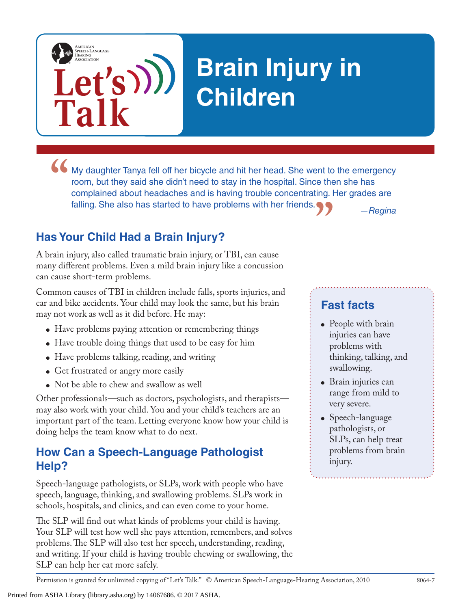# **Brain Injury in Children**

• My daughter Tanya fell off her bicycle and hit her head. She went to the emergency room, but they said she didn't need to stay in the hospital. Since then she has complained about headaches and is having trouble concentr **"** *—Regina* room, but they said she didn't need to stay in the hospital. Since then she has complained about headaches and is having trouble concentrating. Her grades are falling. She also has started to have problems with her friends.

## **Has Your Child Had a Brain Injury?**

**Let's**

**Talk**

AMERICAN<br>SPEECH-LANGUAGE-<br>HEARING<br>ASSOCIATION

A brain injury, also called traumatic brain injury, or TBI, can cause many different problems. Even a mild brain injury like a concussion can cause short-term problems.

Common causes of TBI in children include falls, sports injuries, and car and bike accidents. Your child may look the same, but his brain may not work as well as it did before. He may:

- Have problems paying attention or remembering things
- Have trouble doing things that used to be easy for him
- Have problems talking, reading, and writing
- Get frustrated or angry more easily
- Not be able to chew and swallow as well

Other professionals—such as doctors, psychologists, and therapists may also work with your child. You and your child's teachers are an important part of the team. Letting everyone know how your child is doing helps the team know what to do next.

### **How Can a Speech-Language Pathologist Help?**

Speech-language pathologists, or SLPs, work with people who have speech, language, thinking, and swallowing problems. SLPs work in schools, hospitals, and clinics, and can even come to your home.

The SLP will find out what kinds of problems your child is having. Your SLP will test how well she pays attention, remembers, and solves problems. The SLP will also test her speech, understanding, reading, and writing. If your child is having trouble chewing or swallowing, the SLP can help her eat more safely.

#### **Fast facts**

- People with brain injuries can have problems with thinking, talking, and swallowing.
- Brain injuries can range from mild to very severe.
- Speech-language pathologists, or SLPs, can help treat problems from brain injury.

Permission is granted for unlimited copying of "Let's Talk." © American Speech-Language-Hearing Association, 2010 8064-7